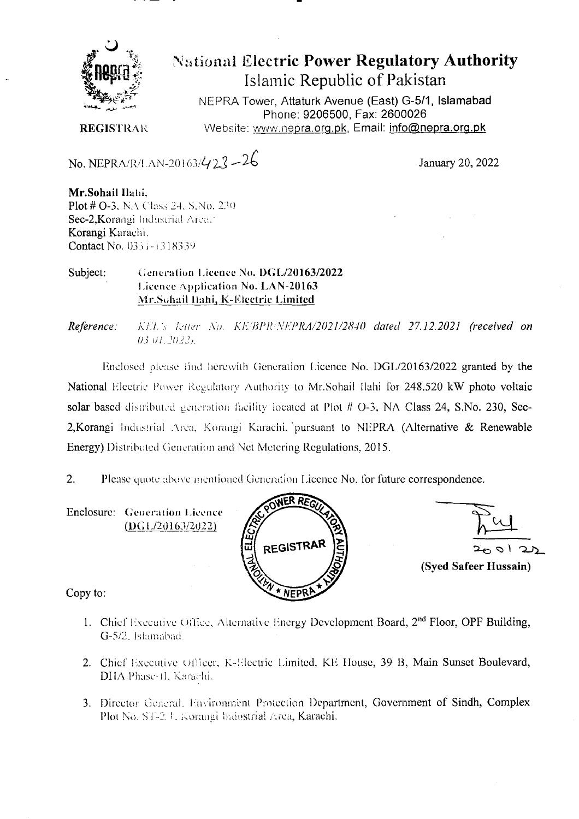

**National Electric Power Regulatory Authority** Islamic Republic of Pakistan

NEPRA Tower, Attaturk Avenue (East) G-5/1, Islamabad Phone: 9206500, Fax: 2600026 Website: www.nepra.org.pk, Email: info@nepra.org.pk

**REGISTRAR** 

No. NEPRA/R/LAN-20163/423-26

January 20, 2022

Mr.Sohail Ilahi, Plot # O-3, NA Class 24, S, No. 230 Sec-2, Korangi Industrial Area, Korangi Karachi. Contact No. 0331-1318339

#### Subject: Generation Licence No. DGL/20163/2022 Lieence Application No. LAN-20163 Mr.Sohail Ilahi, K-Electric Limited

Reference: KEL's letter No. KE/BPR/NEPRA/2021/2840 dated 27.12.2021 (received on  $03.01.2022.$ 

Enclosed please find herewith Generation Licence No. DGL/20163/2022 granted by the National Electric Power Regulatory Authority to Mr.Sohail Ilahi for 248.520 kW photo voltaic solar based distributed generation facility located at Plot # O-3, NA Class 24, S.No. 230, Sec-2, Korangi Industrial Area, Korangi Karachi, pursuant to NEPRA (Alternative & Renewable Energy) Distributed Generation and Net Metering Regulations, 2015.

Please quote above mentioned Generation Licence No. for future correspondence.  $2.$ 

Enclosure: Generation Licence  $(DGL/20163/2022)$ 



(Syed Safeer Hussain)

Copy to:

- 1. Chief Executive Office, Alternative Energy Development Board, 2<sup>nd</sup> Floor, OPF Building, G-5/2, Islamabad.
- 2. Chief Executive Officer, K-Electric Limited, KE House, 39 B, Main Sunset Boulevard, DHA Phase-II, Karachi.
- 3. Director General, Environment Protection Department, Government of Sindh, Complex Plot No. ST-2.1. Korangi Industrial Area, Karachi.